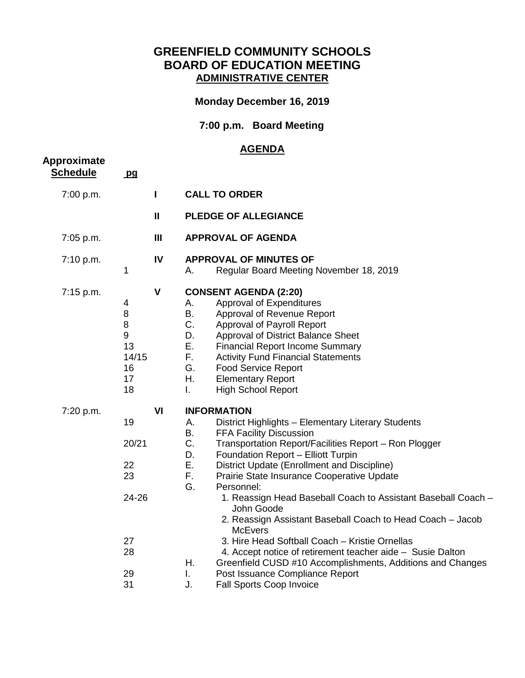## **GREENFIELD COMMUNITY SCHOOLS BOARD OF EDUCATION MEETING ADMINISTRATIVE CENTER**

## **Monday December 16, 2019**

## **7:00 p.m. Board Meeting**

## **AGENDA**

| Approximate<br><b>Schedule</b> | pq                                                       |                |                                                                                                                                                                                                                                                                                                                                                                                                                                                                                                                                                                                                                                                                                                                                                                                                     |
|--------------------------------|----------------------------------------------------------|----------------|-----------------------------------------------------------------------------------------------------------------------------------------------------------------------------------------------------------------------------------------------------------------------------------------------------------------------------------------------------------------------------------------------------------------------------------------------------------------------------------------------------------------------------------------------------------------------------------------------------------------------------------------------------------------------------------------------------------------------------------------------------------------------------------------------------|
| 7:00 p.m.                      |                                                          | I              | <b>CALL TO ORDER</b>                                                                                                                                                                                                                                                                                                                                                                                                                                                                                                                                                                                                                                                                                                                                                                                |
|                                |                                                          | $\mathbf{I}$   | <b>PLEDGE OF ALLEGIANCE</b>                                                                                                                                                                                                                                                                                                                                                                                                                                                                                                                                                                                                                                                                                                                                                                         |
| 7:05 p.m.                      |                                                          | $\mathbf{III}$ | <b>APPROVAL OF AGENDA</b>                                                                                                                                                                                                                                                                                                                                                                                                                                                                                                                                                                                                                                                                                                                                                                           |
| 7:10 p.m.                      | $\mathbf 1$                                              | IV             | <b>APPROVAL OF MINUTES OF</b><br>Regular Board Meeting November 18, 2019<br>А.                                                                                                                                                                                                                                                                                                                                                                                                                                                                                                                                                                                                                                                                                                                      |
| 7:15 p.m.                      | 4<br>8<br>8<br>9<br>13<br>14/15<br>16<br>17<br>18        | V              | <b>CONSENT AGENDA (2:20)</b><br>Approval of Expenditures<br>А.<br>Β.<br>Approval of Revenue Report<br>C.<br>Approval of Payroll Report<br>D.<br>Approval of District Balance Sheet<br>Ε.<br><b>Financial Report Income Summary</b><br>F.<br><b>Activity Fund Financial Statements</b><br>G.<br><b>Food Service Report</b><br>Η.<br><b>Elementary Report</b><br><b>High School Report</b><br>Ι.                                                                                                                                                                                                                                                                                                                                                                                                      |
| 7:20 p.m.                      | 19<br>20/21<br>22<br>23<br>24-26<br>27<br>28<br>29<br>31 | VI             | <b>INFORMATION</b><br>А.<br>District Highlights - Elementary Literary Students<br><b>B.</b><br>FFA Facility Discussion<br>C.<br>Transportation Report/Facilities Report - Ron Plogger<br>D.<br>Foundation Report - Elliott Turpin<br>Ε.<br>District Update (Enrollment and Discipline)<br>F.<br>Prairie State Insurance Cooperative Update<br>G.<br>Personnel:<br>1. Reassign Head Baseball Coach to Assistant Baseball Coach -<br>John Goode<br>2. Reassign Assistant Baseball Coach to Head Coach - Jacob<br><b>McEvers</b><br>3. Hire Head Softball Coach - Kristie Ornellas<br>4. Accept notice of retirement teacher aide - Susie Dalton<br>Η.<br>Greenfield CUSD #10 Accomplishments, Additions and Changes<br>I.<br>Post Issuance Compliance Report<br>J.<br><b>Fall Sports Coop Invoice</b> |